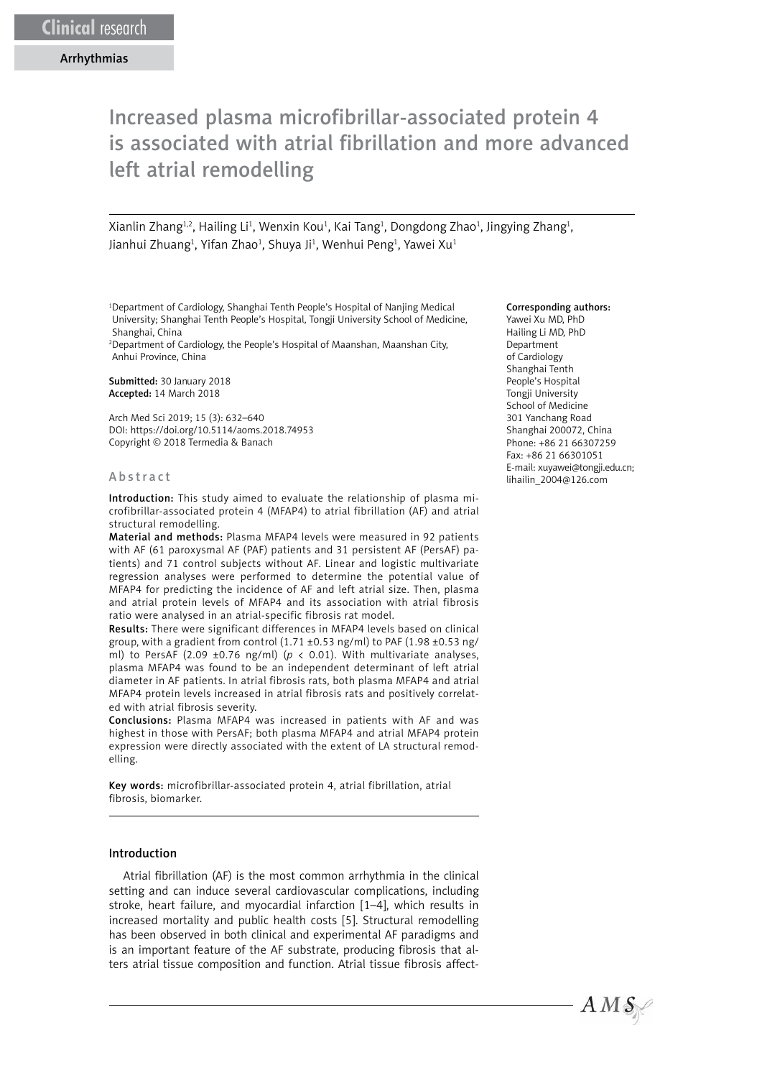# Increased plasma microfibrillar-associated protein 4 is associated with atrial fibrillation and more advanced left atrial remodelling

Xianlin Zhang<sup>1,2</sup>, Hailing Li<sup>1</sup>, Wenxin Kou<sup>1</sup>, Kai Tang<sup>1</sup>, Dongdong Zhao<sup>1</sup>, Jingying Zhang<sup>1</sup>, Jianhui Zhuang<sup>1</sup>, Yifan Zhao<sup>1</sup>, Shuya Ji<sup>1</sup>, Wenhui Peng<sup>1</sup>, Yawei Xu<sup>1</sup>

1 Department of Cardiology, Shanghai Tenth People's Hospital of Nanjing Medical University; Shanghai Tenth People's Hospital, Tongji University School of Medicine, Shanghai, China

2 Department of Cardiology, the People's Hospital of Maanshan, Maanshan City, Anhui Province, China

Submitted: 30 January 2018 Accepted: 14 March 2018

Arch Med Sci 2019; 15 (3): 632–640 DOI: https://doi.org/10.5114/aoms.2018.74953 Copyright © 2018 Termedia & Banach

#### Abstract

Introduction: This study aimed to evaluate the relationship of plasma microfibrillar-associated protein 4 (MFAP4) to atrial fibrillation (AF) and atrial structural remodelling.

Material and methods: Plasma MFAP4 levels were measured in 92 patients with AF (61 paroxysmal AF (PAF) patients and 31 persistent AF (PersAF) patients) and 71 control subjects without AF. Linear and logistic multivariate regression analyses were performed to determine the potential value of MFAP4 for predicting the incidence of AF and left atrial size. Then, plasma and atrial protein levels of MFAP4 and its association with atrial fibrosis ratio were analysed in an atrial-specific fibrosis rat model.

Results: There were significant differences in MFAP4 levels based on clinical group, with a gradient from control (1.71 ±0.53 ng/ml) to PAF (1.98 ±0.53 ng/ ml) to PersAF (2.09  $\pm$ 0.76 ng/ml) ( $p < 0.01$ ). With multivariate analyses, plasma MFAP4 was found to be an independent determinant of left atrial diameter in AF patients. In atrial fibrosis rats, both plasma MFAP4 and atrial MFAP4 protein levels increased in atrial fibrosis rats and positively correlated with atrial fibrosis severity.

Conclusions: Plasma MFAP4 was increased in patients with AF and was highest in those with PersAF; both plasma MFAP4 and atrial MFAP4 protein expression were directly associated with the extent of LA structural remodelling.

Key words: microfibrillar-associated protein 4, atrial fibrillation, atrial fibrosis, biomarker.

#### Introduction

Atrial fibrillation (AF) is the most common arrhythmia in the clinical setting and can induce several cardiovascular complications, including stroke, heart failure, and myocardial infarction [1–4], which results in increased mortality and public health costs [5]. Structural remodelling has been observed in both clinical and experimental AF paradigms and is an important feature of the AF substrate, producing fibrosis that alters atrial tissue composition and function. Atrial tissue fibrosis affect-

#### Corresponding authors:

Yawei Xu MD, PhD Hailing Li MD, PhD Department of Cardiology Shanghai Tenth People's Hospital Tongji University School of Medicine 301 Yanchang Road Shanghai 200072, China Phone: +86 21 66307259 Fax: +86 21 66301051 E-mail: [xuyawei@tongji.edu.cn;](mailto:xuyawei@tongji.edu.cn) lihailin\_2004@126.com

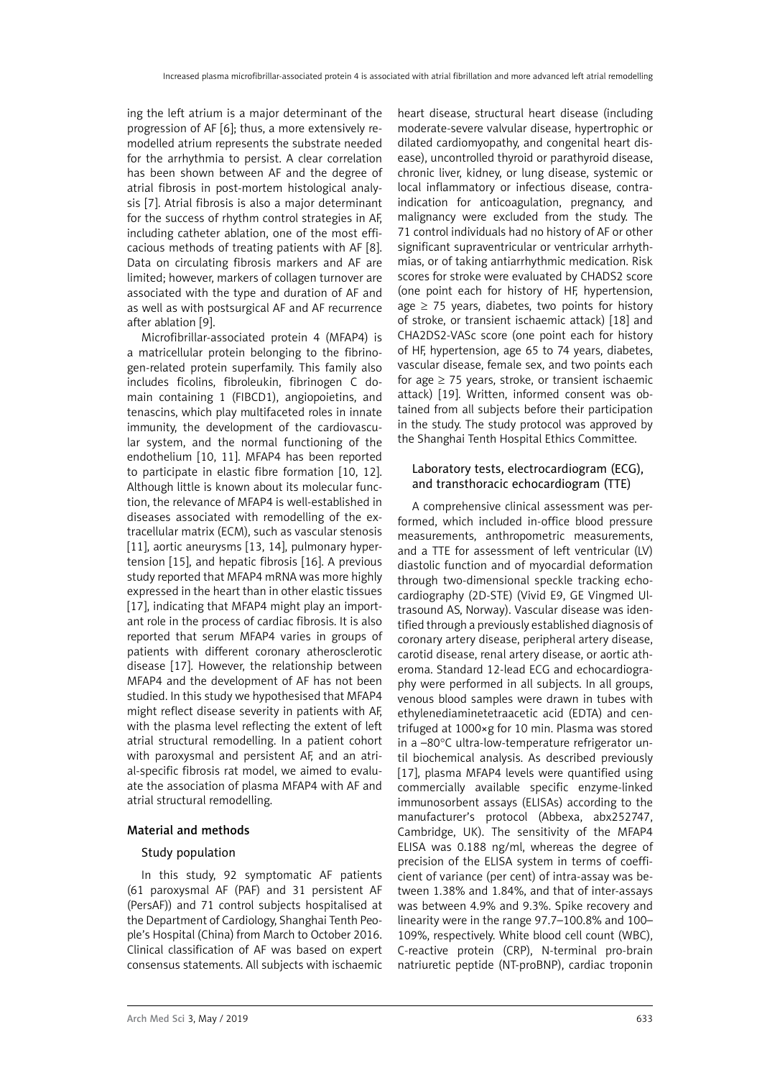ing the left atrium is a major determinant of the progression of AF [6]; thus, a more extensively remodelled atrium represents the substrate needed for the arrhythmia to persist. A clear correlation has been shown between AF and the degree of atrial fibrosis in post-mortem histological analysis [7]. Atrial fibrosis is also a major determinant for the success of rhythm control strategies in AF, including catheter ablation, one of the most efficacious methods of treating patients with AF [8]. Data on circulating fibrosis markers and AF are limited; however, markers of collagen turnover are associated with the type and duration of AF and as well as with postsurgical AF and AF recurrence after ablation [9].

Microfibrillar-associated protein 4 (MFAP4) is a matricellular protein belonging to the fibrinogen-related protein superfamily. This family also includes ficolins, fibroleukin, fibrinogen C domain containing 1 (FIBCD1), angiopoietins, and tenascins, which play multifaceted roles in innate immunity, the development of the cardiovascular system, and the normal functioning of the endothelium [10, 11]. MFAP4 has been reported to participate in elastic fibre formation [10, 12]. Although little is known about its molecular function, the relevance of MFAP4 is well-established in diseases associated with remodelling of the extracellular matrix (ECM), such as vascular stenosis [11], aortic aneurysms [13, 14], pulmonary hypertension [15], and hepatic fibrosis [16]. A previous study reported that MFAP4 mRNA was more highly expressed in the heart than in other elastic tissues [17], indicating that MFAP4 might play an important role in the process of cardiac fibrosis. It is also reported that serum MFAP4 varies in groups of patients with different coronary atherosclerotic disease [17]. However, the relationship between MFAP4 and the development of AF has not been studied. In this study we hypothesised that MFAP4 might reflect disease severity in patients with AF, with the plasma level reflecting the extent of left atrial structural remodelling. In a patient cohort with paroxysmal and persistent AF, and an atrial-specific fibrosis rat model, we aimed to evaluate the association of plasma MFAP4 with AF and atrial structural remodelling.

#### Material and methods

#### Study population

In this study, 92 symptomatic AF patients (61 paroxysmal AF (PAF) and 31 persistent AF (PersAF)) and 71 control subjects hospitalised at the Department of Cardiology, Shanghai Tenth People's Hospital (China) from March to October 2016. Clinical classification of AF was based on expert consensus statements. All subjects with ischaemic heart disease, structural heart disease (including moderate-severe valvular disease, hypertrophic or dilated cardiomyopathy, and congenital heart disease), uncontrolled thyroid or parathyroid disease, chronic liver, kidney, or lung disease, systemic or local inflammatory or infectious disease, contraindication for anticoagulation, pregnancy, and malignancy were excluded from the study. The 71 control individuals had no history of AF or other significant supraventricular or ventricular arrhythmias, or of taking antiarrhythmic medication. Risk scores for stroke were evaluated by CHADS2 score (one point each for history of HF, hypertension, age  $\geq$  75 years, diabetes, two points for history of stroke, or transient ischaemic attack) [18] and CHA2DS2-VASc score (one point each for history of HF, hypertension, age 65 to 74 years, diabetes, vascular disease, female sex, and two points each for age  $\geq$  75 years, stroke, or transient ischaemic attack) [19]. Written, informed consent was obtained from all subjects before their participation in the study. The study protocol was approved by the Shanghai Tenth Hospital Ethics Committee.

# Laboratory tests, electrocardiogram (ECG), and transthoracic echocardiogram (TTE)

A comprehensive clinical assessment was performed, which included in-office blood pressure measurements, anthropometric measurements, and a TTE for assessment of left ventricular (LV) diastolic function and of myocardial deformation through two-dimensional speckle tracking echocardiography (2D-STE) (Vivid E9, GE Vingmed Ultrasound AS, Norway). Vascular disease was identified through a previously established diagnosis of coronary artery disease, peripheral artery disease, carotid disease, renal artery disease, or aortic atheroma. Standard 12-lead ECG and echocardiography were performed in all subjects. In all groups, venous blood samples were drawn in tubes with ethylenediaminetetraacetic acid (EDTA) and centrifuged at 1000×g for 10 min. Plasma was stored in a –80°C ultra-low-temperature refrigerator until biochemical analysis. As described previously [17], plasma MFAP4 levels were quantified using commercially available specific enzyme-linked immunosorbent assays (ELISAs) according to the manufacturer's protocol (Abbexa, abx252747, Cambridge, UK). The sensitivity of the MFAP4 ELISA was 0.188 ng/ml, whereas the degree of precision of the ELISA system in terms of coefficient of variance (per cent) of intra-assay was between 1.38% and 1.84%, and that of inter-assays was between 4.9% and 9.3%. Spike recovery and linearity were in the range 97.7–100.8% and 100– 109%, respectively. White blood cell count (WBC), C-reactive protein (CRP), N-terminal pro-brain natriuretic peptide (NT-proBNP), cardiac troponin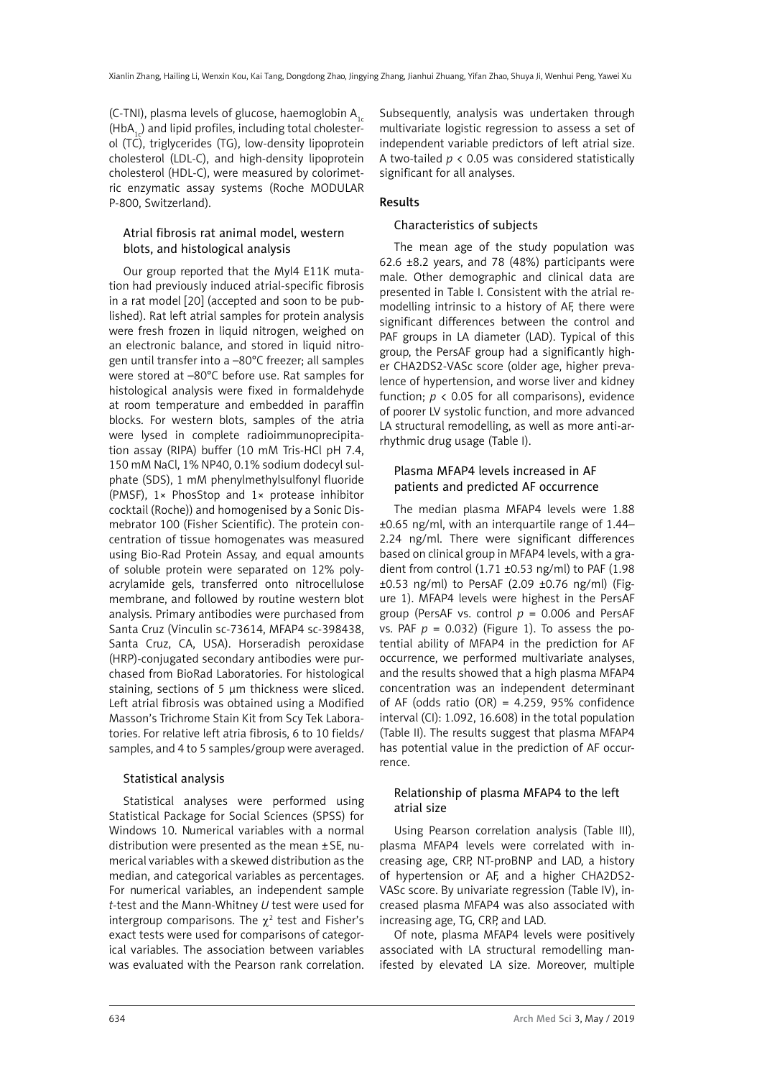(C-TNI), plasma levels of glucose, haemoglobin  $A_{1c}$  $(HbA<sub>1</sub>)$  and lipid profiles, including total cholesterol (TC), triglycerides (TG), low-density lipoprotein cholesterol (LDL-C), and high-density lipoprotein cholesterol (HDL-C), were measured by colorimetric enzymatic assay systems (Roche MODULAR P-800, Switzerland).

# Atrial fibrosis rat animal model, western blots, and histological analysis

Our group reported that the Myl4 E11K mutation had previously induced atrial-specific fibrosis in a rat model [20] (accepted and soon to be published). Rat left atrial samples for protein analysis were fresh frozen in liquid nitrogen, weighed on an electronic balance, and stored in liquid nitrogen until transfer into a –80°C freezer; all samples were stored at –80°C before use. Rat samples for histological analysis were fixed in formaldehyde at room temperature and embedded in paraffin blocks. For western blots, samples of the atria were lysed in complete radioimmunoprecipitation assay (RIPA) buffer (10 mM Tris-HCl pH 7.4, 150 mM NaCl, 1% NP40, 0.1% sodium dodecyl sulphate (SDS), 1 mM phenylmethylsulfonyl fluoride (PMSF), 1× PhosStop and 1× protease inhibitor cocktail (Roche)) and homogenised by a Sonic Dismebrator 100 (Fisher Scientific). The protein concentration of tissue homogenates was measured using Bio-Rad Protein Assay, and equal amounts of soluble protein were separated on 12% polyacrylamide gels, transferred onto nitrocellulose membrane, and followed by routine western blot analysis. Primary antibodies were purchased from Santa Cruz (Vinculin sc-73614, MFAP4 sc-398438, Santa Cruz, CA, USA). Horseradish peroxidase (HRP)-conjugated secondary antibodies were purchased from BioRad Laboratories. For histological staining, sections of 5 μm thickness were sliced. Left atrial fibrosis was obtained using a Modified Masson's Trichrome Stain Kit from Scy Tek Laboratories. For relative left atria fibrosis, 6 to 10 fields/ samples, and 4 to 5 samples/group were averaged.

#### Statistical analysis

Statistical analyses were performed using Statistical Package for Social Sciences (SPSS) for Windows 10. Numerical variables with a normal distribution were presented as the mean ±SE, numerical variables with a skewed distribution as the median, and categorical variables as percentages. For numerical variables, an independent sample *t-*test and the Mann-Whitney *U* test were used for intergroup comparisons. The  $\gamma^2$  test and Fisher's exact tests were used for comparisons of categorical variables. The association between variables was evaluated with the Pearson rank correlation.

Subsequently, analysis was undertaken through multivariate logistic regression to assess a set of independent variable predictors of left atrial size. A two-tailed *p* < 0.05 was considered statistically significant for all analyses.

# Results

### Characteristics of subjects

The mean age of the study population was 62.6 ±8.2 years, and 78 (48%) participants were male. Other demographic and clinical data are presented in Table I. Consistent with the atrial remodelling intrinsic to a history of AF, there were significant differences between the control and PAF groups in LA diameter (LAD). Typical of this group, the PersAF group had a significantly higher CHA2DS2-VASc score (older age, higher prevalence of hypertension, and worse liver and kidney function;  $p < 0.05$  for all comparisons), evidence of poorer LV systolic function, and more advanced LA structural remodelling, as well as more anti-arrhythmic drug usage (Table I).

#### Plasma MFAP4 levels increased in AF patients and predicted AF occurrence

The median plasma MFAP4 levels were 1.88 ±0.65 ng/ml, with an interquartile range of 1.44– 2.24 ng/ml. There were significant differences based on clinical group in MFAP4 levels, with a gradient from control (1.71 ±0.53 ng/ml) to PAF (1.98 ±0.53 ng/ml) to PersAF (2.09 ±0.76 ng/ml) (Figure 1). MFAP4 levels were highest in the PersAF group (PersAF vs. control *p* = 0.006 and PersAF vs. PAF  $p = 0.032$ ) (Figure 1). To assess the potential ability of MFAP4 in the prediction for AF occurrence, we performed multivariate analyses, and the results showed that a high plasma MFAP4 concentration was an independent determinant of AF (odds ratio  $(OR) = 4.259, 95\%$  confidence interval (CI): 1.092, 16.608) in the total population (Table II). The results suggest that plasma MFAP4 has potential value in the prediction of AF occurrence.

#### Relationship of plasma MFAP4 to the left atrial size

Using Pearson correlation analysis (Table III), plasma MFAP4 levels were correlated with increasing age, CRP, NT-proBNP and LAD, a history of hypertension or AF, and a higher CHA2DS2- VASc score. By univariate regression (Table IV), increased plasma MFAP4 was also associated with increasing age, TG, CRP, and LAD.

Of note, plasma MFAP4 levels were positively associated with LA structural remodelling manifested by elevated LA size. Moreover, multiple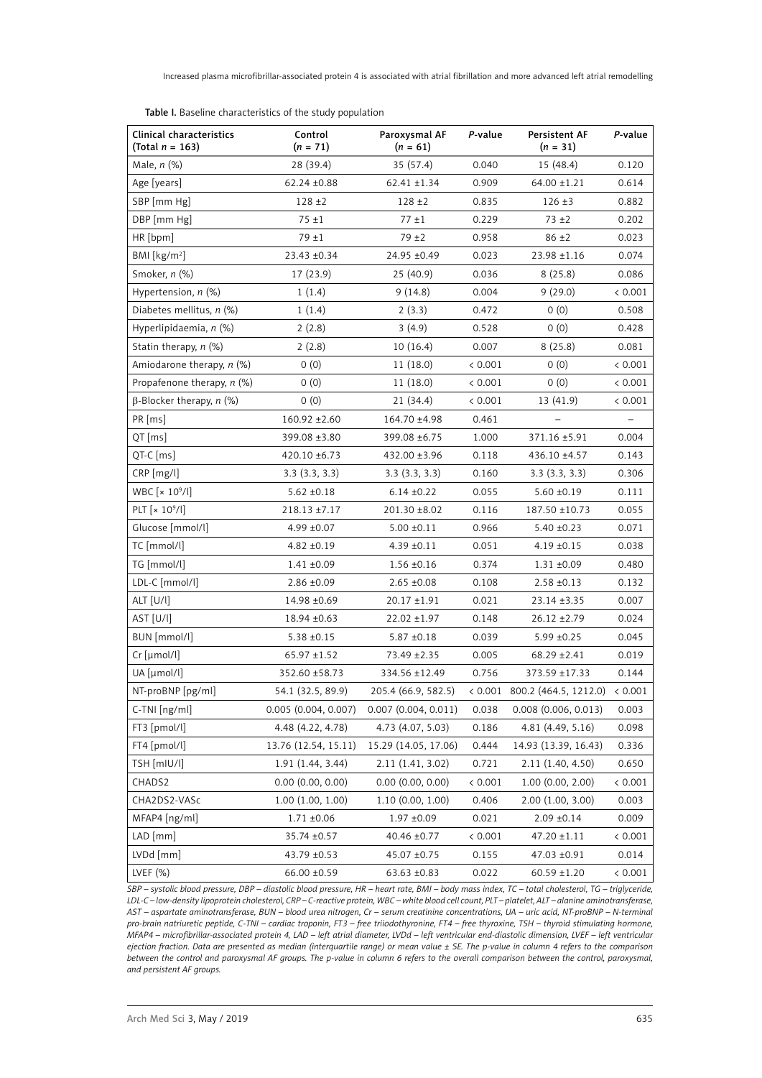| Clinical characteristics<br>(Total $n = 163$ ) | Control<br>$(n = 71)$ | Paroxysmal AF<br>$(n = 61)$ | P-value | Persistent AF<br>$(n = 31)$                 | P-value           |
|------------------------------------------------|-----------------------|-----------------------------|---------|---------------------------------------------|-------------------|
| Male, $n$ (%)                                  | 28 (39.4)             | 35 (57.4)                   | 0.040   | 15 (48.4)                                   | 0.120             |
| Age [years]                                    | $62.24 \pm 0.88$      | $62.41 \pm 1.34$            | 0.909   | $64.00 \pm 1.21$                            | 0.614             |
| SBP [mm Hg]                                    | $128 + 2$             | $128 + 2$                   | 0.835   | $126 \pm 3$                                 | 0.882             |
| DBP [mm Hg]                                    | $75 + 1$              | $77 \pm 1$                  | 0.229   | $73 + 2$                                    | 0.202             |
| HR [bpm]                                       | $79 + 1$              | $79 + 2$                    | 0.958   | $86 \pm 2$                                  | 0.023             |
| BMI [ $kg/m2$ ]                                | 23.43 ±0.34           | 24.95 ±0.49                 | 0.023   | $23.98 \pm 1.16$                            | 0.074             |
| Smoker, n (%)                                  | 17 (23.9)             | 25(40.9)                    | 0.036   | 8(25.8)                                     | 0.086             |
| Hypertension, $n$ (%)                          | 1(1.4)                | 9(14.8)                     | 0.004   | 9(29.0)                                     | < 0.001           |
| Diabetes mellitus, $n$ (%)                     | 1(1.4)                | 2(3.3)                      | 0.472   | 0(0)                                        | 0.508             |
| Hyperlipidaemia, n (%)                         | 2(2.8)                | 3(4.9)                      | 0.528   | 0(0)                                        | 0.428             |
| Statin therapy, n (%)                          | 2(2.8)                | 10(16.4)                    | 0.007   | 8(25.8)                                     | 0.081             |
| Amiodarone therapy, n (%)                      | 0(0)                  | 11(18.0)                    | < 0.001 | 0(0)                                        | < 0.001           |
| Propafenone therapy, $n$ (%)                   | 0(0)                  | 11 (18.0)                   | < 0.001 | 0(0)                                        | < 0.001           |
| $\beta$ -Blocker therapy, n (%)                | 0(0)                  | 21(34.4)                    | < 0.001 | 13 (41.9)                                   | < 0.001           |
| PR [ms]                                        | $160.92 \pm 2.60$     | 164.70 ±4.98                | 0.461   |                                             | $\qquad \qquad -$ |
| $QT$ [ms]                                      | 399.08 ±3.80          | 399.08 ±6.75                | 1.000   | 371.16 ±5.91                                | 0.004             |
| $QT-C$ [ms]                                    | 420.10 ±6.73          | 432.00 ±3.96                | 0.118   | 436.10 ±4.57                                | 0.143             |
| CRP [mg/l]                                     | 3.3(3.3, 3.3)         | 3.3(3.3, 3.3)               | 0.160   | 3.3(3.3, 3.3)                               | 0.306             |
| WBC $[x 10^9/l]$                               | $5.62 \pm 0.18$       | $6.14 \pm 0.22$             | 0.055   | $5.60 \pm 0.19$                             | 0.111             |
| PLT $\left[x\ 10^9/l\right]$                   | $218.13 \pm 7.17$     | 201.30 ±8.02                | 0.116   | 187.50 ±10.73                               | 0.055             |
| Glucose [mmol/l]                               | $4.99 \pm 0.07$       | $5.00 \pm 0.11$             | 0.966   | $5.40 \pm 0.23$                             | 0.071             |
| TC [mmol/l]                                    | $4.82 + 0.19$         | $4.39 \pm 0.11$             | 0.051   | $4.19 \pm 0.15$                             | 0.038             |
| TG [mmol/l]                                    | 1.41 ±0.09            | $1.56 \; {\pm} 0.16$        | 0.374   | $1.31 + 0.09$                               | 0.480             |
| LDL-C [mmol/l]                                 | $2.86 \pm 0.09$       | $2.65 \pm 0.08$             | 0.108   | $2.58 \pm 0.13$                             | 0.132             |
| ALT [U/l]                                      | 14.98 ±0.69           | 20.17 ±1.91                 | 0.021   | $23.14 \pm 3.35$                            | 0.007             |
| AST [U/l]                                      | 18.94 ± 0.63          | $22.02 \pm 1.97$            | 0.148   | $26.12 \pm 2.79$                            | 0.024             |
| BUN [mmol/l]                                   | $5.38 \pm 0.15$       | $5.87 \pm 0.18$             | 0.039   | $5.99 \pm 0.25$                             | 0.045             |
| $Cr$ [µmol/l]                                  | $65.97 \pm 1.52$      | 73.49 ±2.35                 | 0.005   | 68.29 ±2.41                                 | 0.019             |
| UA [µmol/l]                                    | 352.60 ±58.73         | 334.56 ±12.49               | 0.756   | 373.59 ±17.33                               | 0.144             |
| NT-proBNP [pg/ml]                              | 54.1 (32.5, 89.9)     | 205.4 (66.9, 582.5)         |         | $(0.001 \ 800.2 \ (464.5, 1212.0) \ (0.001$ |                   |
| C-TNI [ng/ml]                                  | 0.005 (0.004, 0.007)  | $0.007$ $(0.004, 0.011)$    | 0.038   | 0.008(0.006, 0.013)                         | 0.003             |
| FT3 [pmol/l]                                   | 4.48 (4.22, 4.78)     | 4.73 (4.07, 5.03)           | 0.186   | 4.81 (4.49, 5.16)                           | 0.098             |
| FT4 [pmol/l]                                   | 13.76 (12.54, 15.11)  | 15.29 (14.05, 17.06)        | 0.444   | 14.93 (13.39, 16.43)                        | 0.336             |
| TSH [mIU/l]                                    | 1.91(1.44, 3.44)      | 2.11 (1.41, 3.02)           | 0.721   | 2.11 (1.40, 4.50)                           | 0.650             |
| CHADS2                                         | 0.00(0.00, 0.00)      | $0.00$ $(0.00, 0.00)$       | < 0.001 | 1.00(0.00, 2.00)                            | < 0.001           |
| CHA2DS2-VASc                                   | 1.00(1.00, 1.00)      | 1.10 (0.00, 1.00)           | 0.406   | 2.00(1.00, 3.00)                            | 0.003             |
| MFAP4 [ng/ml]                                  | $1.71 \pm 0.06$       | $1.97 + 0.09$               | 0.021   | $2.09 \pm 0.14$                             | 0.009             |
| LAD [mm]                                       | 35.74 ±0.57           | 40.46 ±0.77                 | < 0.001 | $47.20 \pm 1.11$                            | < 0.001           |
| LVDd [mm]                                      | 43.79 ±0.53           | 45.07 ±0.75                 | 0.155   | 47.03 ±0.91                                 | 0.014             |
| LVEF (%)                                       | 66.00 ±0.59           | $63.63 \pm 0.83$            | 0.022   | $60.59 \pm 1.20$                            | < 0.001           |

Table I. Baseline characteristics of the study population

*SBP – systolic blood pressure, DBP – diastolic blood pressure, HR – heart rate, BMI – body mass index, TC – total cholesterol, TG – triglyceride, LDL-C – low-density lipoprotein cholesterol, CRP – C-reactive protein, WBC – white blood cell count, PLT – platelet, ALT – alanine aminotransferase, AST – aspartate aminotransferase, BUN – blood urea nitrogen, Cr – serum creatinine concentrations, UA – uric acid, NT-proBNP – N-terminal pro-brain natriuretic peptide, C-TNI – cardiac troponin, FT3 – free triiodothyronine, FT4 – free thyroxine, TSH – thyroid stimulating hormone, MFAP4 – microfibrillar-associated protein 4, LAD – left atrial diameter, LVDd – left ventricular end-diastolic dimension, LVEF – left ventricular ejection fraction. Data are presented as median (interquartile range) or mean value ± SE. The p-value in column 4 refers to the comparison between the control and paroxysmal AF groups. The p-value in column 6 refers to the overall comparison between the control, paroxysmal, and persistent AF groups.*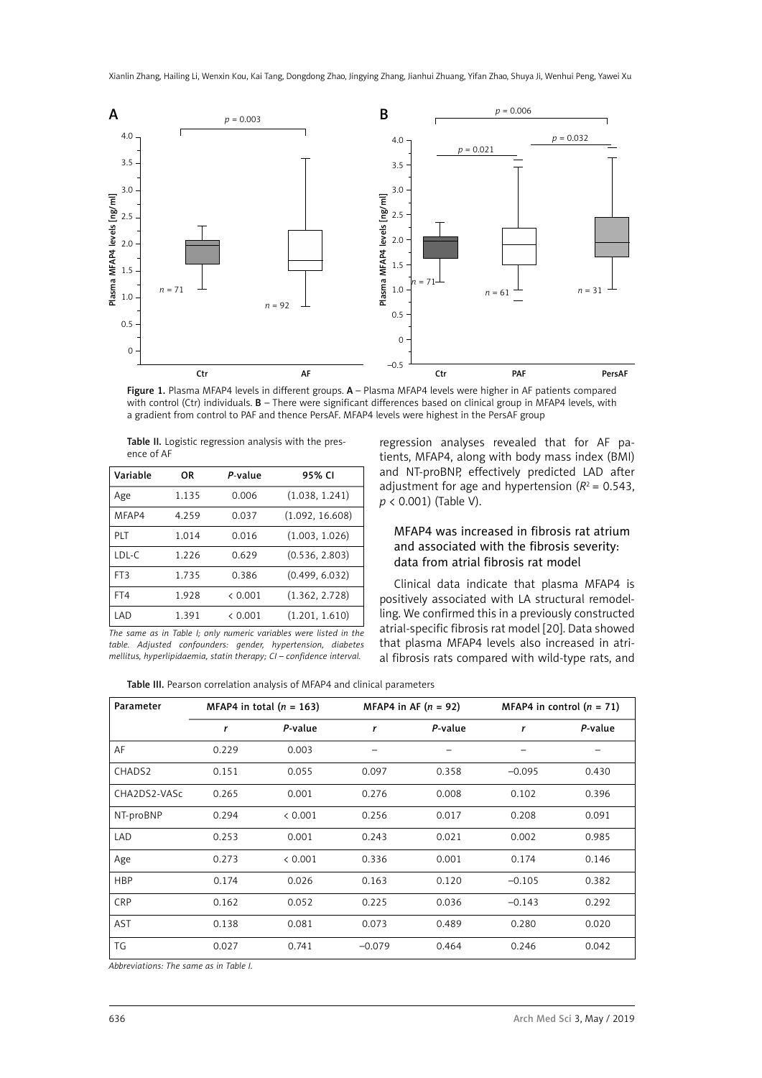

Figure 1. Plasma MFAP4 levels in different groups. A – Plasma MFAP4 levels were higher in AF patients compared with control (Ctr) individuals. B – There were significant differences based on clinical group in MFAP4 levels, with a gradient from control to PAF and thence PersAF. MFAP4 levels were highest in the PersAF group

| Table II. Logistic regression analysis with the pres- |  |  |  |
|-------------------------------------------------------|--|--|--|
| ence of AF                                            |  |  |  |

| Variable | OR    | P-value | 95% CI          |
|----------|-------|---------|-----------------|
| Age      | 1.135 | 0.006   | (1.038, 1.241)  |
| MFAP4    | 4.259 | 0.037   | (1.092, 16.608) |
| PLT      | 1.014 | 0.016   | (1.003, 1.026)  |
| LDL-C    | 1.226 | 0.629   | (0.536, 2.803)  |
| FT3      | 1.735 | 0.386   | (0.499, 6.032)  |
| FT4      | 1.928 | & 0.001 | (1.362, 2.728)  |
| LAD      | 1.391 | & 0.001 | (1.201, 1.610)  |

regression analyses revealed that for AF patients, MFAP4, along with body mass index (BMI) and NT-proBNP, effectively predicted LAD after adjustment for age and hypertension  $(R^2 = 0.543)$ , *p* < 0.001) (Table V).

### MFAP4 was increased in fibrosis rat atrium and associated with the fibrosis severity: data from atrial fibrosis rat model

Clinical data indicate that plasma MFAP4 is positively associated with LA structural remodelling. We confirmed this in a previously constructed atrial-specific fibrosis rat model [20]. Data showed that plasma MFAP4 levels also increased in atrial fibrosis rats compared with wild-type rats, and

*The same as in Table I; only numeric variables were listed in the table. Adjusted confounders: gender, hypertension, diabetes mellitus, hyperlipidaemia, statin therapy; CI – confidence interval.*

Table III. Pearson correlation analysis of MFAP4 and clinical parameters

| Parameter    | MFAP4 in total $(n = 163)$ |         | MFAP4 in AF $(n = 92)$ |         | MFAP4 in control $(n = 71)$ |         |
|--------------|----------------------------|---------|------------------------|---------|-----------------------------|---------|
|              | r                          | P-value | r                      | P-value | r                           | P-value |
| AF           | 0.229                      | 0.003   |                        |         |                             |         |
| CHADS2       | 0.151                      | 0.055   | 0.097                  | 0.358   | $-0.095$                    | 0.430   |
| CHA2DS2-VASc | 0.265                      | 0.001   | 0.276                  | 0.008   | 0.102                       | 0.396   |
| NT-proBNP    | 0.294                      | < 0.001 | 0.256                  | 0.017   | 0.208                       | 0.091   |
| LAD          | 0.253                      | 0.001   | 0.243                  | 0.021   | 0.002                       | 0.985   |
| Age          | 0.273                      | < 0.001 | 0.336                  | 0.001   | 0.174                       | 0.146   |
| <b>HBP</b>   | 0.174                      | 0.026   | 0.163                  | 0.120   | $-0.105$                    | 0.382   |
| CRP          | 0.162                      | 0.052   | 0.225                  | 0.036   | $-0.143$                    | 0.292   |
| <b>AST</b>   | 0.138                      | 0.081   | 0.073                  | 0.489   | 0.280                       | 0.020   |
| TG           | 0.027                      | 0.741   | $-0.079$               | 0.464   | 0.246                       | 0.042   |

*Abbreviations: The same as in Table I.*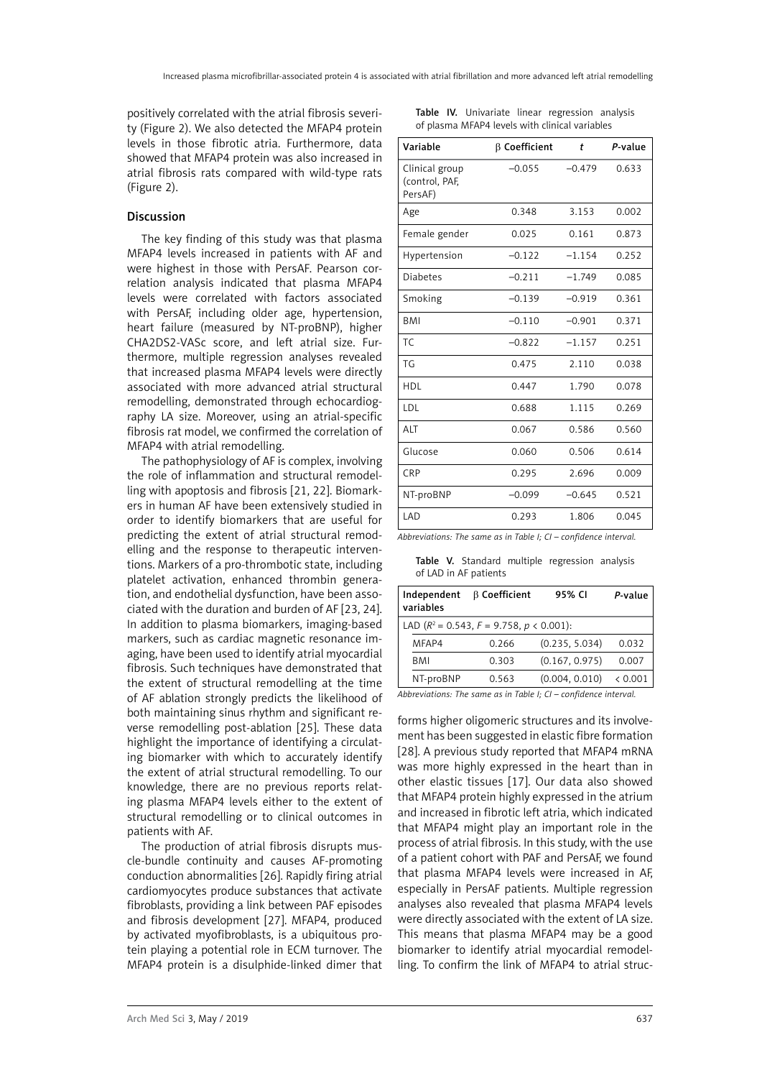positively correlated with the atrial fibrosis severity (Figure 2). We also detected the MFAP4 protein levels in those fibrotic atria. Furthermore, data showed that MFAP4 protein was also increased in atrial fibrosis rats compared with wild-type rats (Figure 2).

# Discussion

The key finding of this study was that plasma MFAP4 levels increased in patients with AF and were highest in those with PersAF. Pearson correlation analysis indicated that plasma MFAP4 levels were correlated with factors associated with PersAF, including older age, hypertension, heart failure (measured by NT-proBNP), higher CHA2DS2-VASc score, and left atrial size. Furthermore, multiple regression analyses revealed that increased plasma MFAP4 levels were directly associated with more advanced atrial structural remodelling, demonstrated through echocardiography LA size. Moreover, using an atrial-specific fibrosis rat model, we confirmed the correlation of MFAP4 with atrial remodelling.

The pathophysiology of AF is complex, involving the role of inflammation and structural remodelling with apoptosis and fibrosis [21, 22]. Biomarkers in human AF have been extensively studied in order to identify biomarkers that are useful for predicting the extent of atrial structural remodelling and the response to therapeutic interventions. Markers of a pro-thrombotic state, including platelet activation, enhanced thrombin generation, and endothelial dysfunction, have been associated with the duration and burden of AF [23, 24]. In addition to plasma biomarkers, imaging-based markers, such as cardiac magnetic resonance imaging, have been used to identify atrial myocardial fibrosis. Such techniques have demonstrated that the extent of structural remodelling at the time of AF ablation strongly predicts the likelihood of both maintaining sinus rhythm and significant reverse remodelling post-ablation [25]. These data highlight the importance of identifying a circulating biomarker with which to accurately identify the extent of atrial structural remodelling. To our knowledge, there are no previous reports relating plasma MFAP4 levels either to the extent of structural remodelling or to clinical outcomes in patients with AF.

The production of atrial fibrosis disrupts muscle-bundle continuity and causes AF-promoting conduction abnormalities [26]. Rapidly firing atrial cardiomyocytes produce substances that activate fibroblasts, providing a link between PAF episodes and fibrosis development [27]. MFAP4, produced by activated myofibroblasts, is a ubiquitous protein playing a potential role in ECM turnover. The MFAP4 protein is a disulphide-linked dimer that

|  |  | Table IV. Univariate linear regression analysis |  |
|--|--|-------------------------------------------------|--|
|  |  | of plasma MFAP4 levels with clinical variables  |  |

| Variable                                    | $\beta$ Coefficient | t        | P-value |
|---------------------------------------------|---------------------|----------|---------|
| Clinical group<br>(control, PAF,<br>PersAF) | $-0.055$            | $-0.479$ | 0.633   |
| Age                                         | 0.348               | 3.153    | 0.002   |
| Female gender                               | 0.025               | 0.161    | 0.873   |
| Hypertension                                | $-0.122$            | $-1.154$ | 0.252   |
| <b>Diabetes</b>                             | $-0.211$            | $-1.749$ | 0.085   |
| Smoking                                     | $-0.139$            | $-0.919$ | 0.361   |
| <b>BMI</b>                                  | $-0.110$            | $-0.901$ | 0.371   |
| TC.                                         | $-0.822$            | $-1.157$ | 0.251   |
| TG                                          | 0.475               | 2.110    | 0.038   |
| <b>HDL</b>                                  | 0.447               | 1.790    | 0.078   |
| LDL                                         | 0.688               | 1.115    | 0.269   |
| ALT                                         | 0.067               | 0.586    | 0.560   |
| Glucose                                     | 0.060               | 0.506    | 0.614   |
| CRP                                         | 0.295               | 2.696    | 0.009   |
| NT-proBNP                                   | $-0.099$            | $-0.645$ | 0.521   |
| LAD                                         | 0.293               | 1.806    | 0.045   |

*Abbreviations: The same as in Table I; CI – confidence interval.*

Table V. Standard multiple regression analysis of LAD in AF patients

| Independent<br>variables | <b>B</b> Coefficient                        | 95% CI                       | P-value  |
|--------------------------|---------------------------------------------|------------------------------|----------|
|                          | LAD $(R^2 = 0.543, F = 9.758, p < 0.001)$ : |                              |          |
| MFAP4                    | 0.266                                       | (0.235, 5.034)               | 0.032    |
| BMI                      | 0.303                                       | (0.167, 0.975)               | 0.007    |
| NT-proBNP                | 0.563                                       | (0.004, 0.010)               | < 0.001  |
| .                        |                                             | $\sim$ $\sim$<br>_ _ _ _ _ _ | $\cdots$ |

*Abbreviations: The same as in Table I; CI – confidence interval.*

forms higher oligomeric structures and its involvement has been suggested in elastic fibre formation [28]. A previous study reported that MFAP4 mRNA was more highly expressed in the heart than in other elastic tissues [17]. Our data also showed that MFAP4 protein highly expressed in the atrium and increased in fibrotic left atria, which indicated that MFAP4 might play an important role in the process of atrial fibrosis. In this study, with the use of a patient cohort with PAF and PersAF, we found that plasma MFAP4 levels were increased in AF, especially in PersAF patients. Multiple regression analyses also revealed that plasma MFAP4 levels were directly associated with the extent of LA size. This means that plasma MFAP4 may be a good biomarker to identify atrial myocardial remodelling. To confirm the link of MFAP4 to atrial struc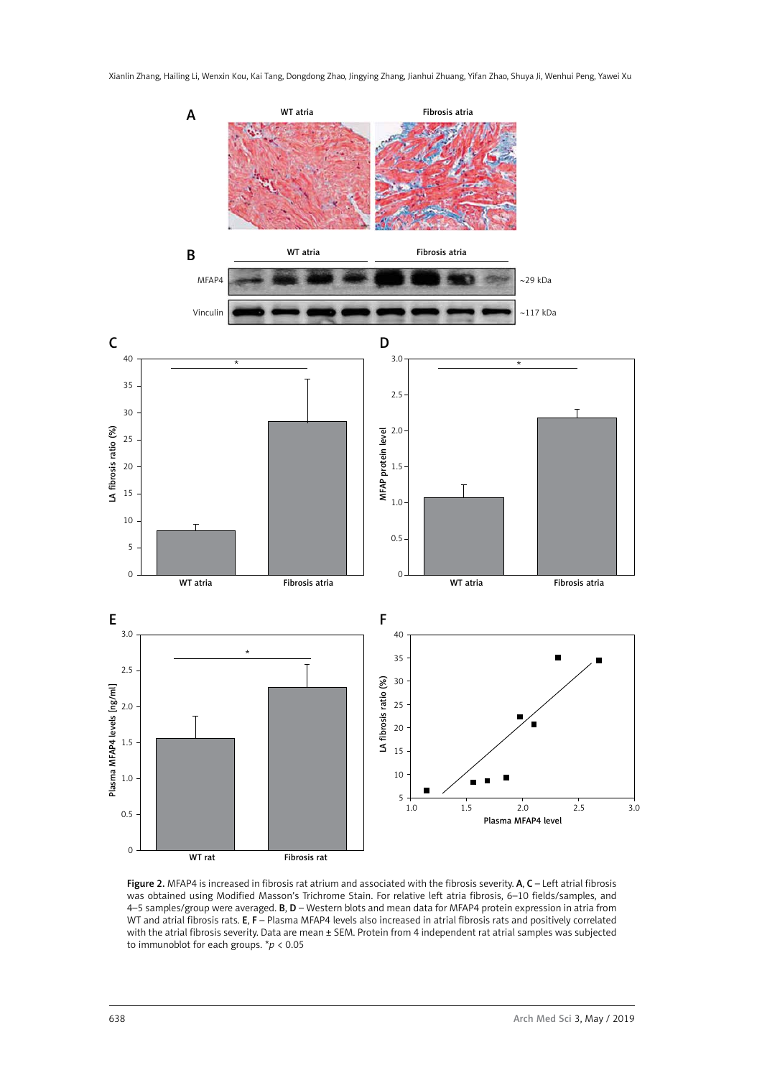Xianlin Zhang, Hailing Li, Wenxin Kou, Kai Tang, Dongdong Zhao, Jingying Zhang, Jianhui Zhuang, Yifan Zhao, Shuya Ji, Wenhui Peng, Yawei Xu



Figure 2. MFAP4 is increased in fibrosis rat atrium and associated with the fibrosis severity. A, C - Left atrial fibrosis was obtained using Modified Masson's Trichrome Stain. For relative left atria fibrosis, 6–10 fields/samples, and 4–5 samples/group were averaged. B, D – Western blots and mean data for MFAP4 protein expression in atria from WT and atrial fibrosis rats. E, F – Plasma MFAP4 levels also increased in atrial fibrosis rats and positively correlated with the atrial fibrosis severity. Data are mean ± SEM. Protein from 4 independent rat atrial samples was subjected to immunoblot for each groups. \**p* < 0.05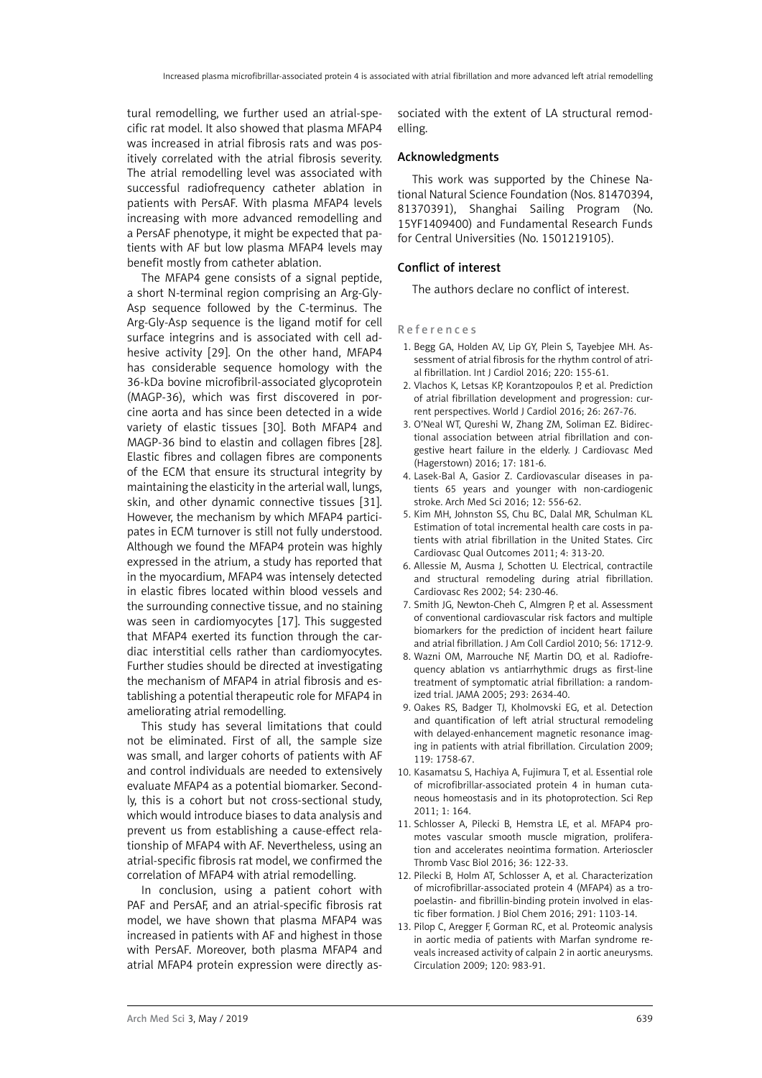tural remodelling, we further used an atrial-specific rat model. It also showed that plasma MFAP4 was increased in atrial fibrosis rats and was positively correlated with the atrial fibrosis severity. The atrial remodelling level was associated with successful radiofrequency catheter ablation in patients with PersAF. With plasma MFAP4 levels increasing with more advanced remodelling and a PersAF phenotype, it might be expected that patients with AF but low plasma MFAP4 levels may benefit mostly from catheter ablation.

The MFAP4 gene consists of a signal peptide, a short N-terminal region comprising an Arg-Gly-Asp sequence followed by the C-terminus. The Arg-Gly-Asp sequence is the ligand motif for cell surface integrins and is associated with cell adhesive activity [29]. On the other hand, MFAP4 has considerable sequence homology with the 36-kDa bovine microfibril-associated glycoprotein (MAGP-36), which was first discovered in porcine aorta and has since been detected in a wide variety of elastic tissues [30]. Both MFAP4 and MAGP-36 bind to elastin and collagen fibres [28]. Elastic fibres and collagen fibres are components of the ECM that ensure its structural integrity by maintaining the elasticity in the arterial wall, lungs, skin, and other dynamic connective tissues [31]. However, the mechanism by which MFAP4 participates in ECM turnover is still not fully understood. Although we found the MFAP4 protein was highly expressed in the atrium, a study has reported that in the myocardium, MFAP4 was intensely detected in elastic fibres located within blood vessels and the surrounding connective tissue, and no staining was seen in cardiomyocytes [17]. This suggested that MFAP4 exerted its function through the cardiac interstitial cells rather than cardiomyocytes. Further studies should be directed at investigating the mechanism of MFAP4 in atrial fibrosis and establishing a potential therapeutic role for MFAP4 in ameliorating atrial remodelling.

This study has several limitations that could not be eliminated. First of all, the sample size was small, and larger cohorts of patients with AF and control individuals are needed to extensively evaluate MFAP4 as a potential biomarker. Secondly, this is a cohort but not cross-sectional study, which would introduce biases to data analysis and prevent us from establishing a cause-effect relationship of MFAP4 with AF. Nevertheless, using an atrial-specific fibrosis rat model, we confirmed the correlation of MFAP4 with atrial remodelling.

In conclusion, using a patient cohort with PAF and PersAF, and an atrial-specific fibrosis rat model, we have shown that plasma MFAP4 was increased in patients with AF and highest in those with PersAF. Moreover, both plasma MFAP4 and atrial MFAP4 protein expression were directly associated with the extent of LA structural remodelling.

#### Acknowledgments

This work was supported by the Chinese National Natural Science Foundation (Nos. 81470394, 81370391), Shanghai Sailing Program (No. 15YF1409400) and Fundamental Research Funds for Central Universities (No. 1501219105).

#### Conflict of interest

The authors declare no conflict of interest.

#### References

- 1. Begg GA, Holden AV, Lip GY, Plein S, Tayebjee MH. Assessment of atrial fibrosis for the rhythm control of atrial fibrillation. Int J Cardiol 2016; 220: 155-61.
- 2. Vlachos K, Letsas KP, Korantzopoulos P, et al. Prediction of atrial fibrillation development and progression: current perspectives. World J Cardiol 2016; 26: 267-76.
- 3. O'Neal WT, Qureshi W, Zhang ZM, Soliman EZ. Bidirectional association between atrial fibrillation and congestive heart failure in the elderly. J Cardiovasc Med (Hagerstown) 2016; 17: 181-6.
- 4. Lasek-Bal A, Gasior Z. Cardiovascular diseases in patients 65 years and younger with non-cardiogenic stroke. Arch Med Sci 2016; 12: 556-62.
- 5. Kim MH, Johnston SS, Chu BC, Dalal MR, Schulman KL. Estimation of total incremental health care costs in patients with atrial fibrillation in the United States. Circ Cardiovasc Qual Outcomes 2011; 4: 313-20.
- 6. Allessie M, Ausma J, Schotten U. Electrical, contractile and structural remodeling during atrial fibrillation. Cardiovasc Res 2002; 54: 230-46.
- 7. Smith JG, Newton-Cheh C, Almgren P, et al. Assessment of conventional cardiovascular risk factors and multiple biomarkers for the prediction of incident heart failure and atrial fibrillation. J Am Coll Cardiol 2010; 56: 1712-9.
- 8. Wazni OM, Marrouche NF, Martin DO, et al. Radiofrequency ablation vs antiarrhythmic drugs as first-line treatment of symptomatic atrial fibrillation: a randomized trial. JAMA 2005; 293: 2634-40.
- 9. Oakes RS, Badger TJ, Kholmovski EG, et al. Detection and quantification of left atrial structural remodeling with delayed-enhancement magnetic resonance imaging in patients with atrial fibrillation. Circulation 2009; 119: 1758-67.
- 10. Kasamatsu S, Hachiya A, Fujimura T, et al. Essential role of microfibrillar-associated protein 4 in human cutaneous homeostasis and in its photoprotection. Sci Rep  $2011:1:164$
- 11. Schlosser A, Pilecki B, Hemstra LE, et al. MFAP4 promotes vascular smooth muscle migration, proliferation and accelerates neointima formation. Arterioscler Thromb Vasc Biol 2016; 36: 122-33.
- 12. Pilecki B, Holm AT, Schlosser A, et al. Characterization of microfibrillar-associated protein 4 (MFAP4) as a tropoelastin- and fibrillin-binding protein involved in elastic fiber formation. J Biol Chem 2016; 291: 1103-14.
- 13. Pilop C, Aregger F, Gorman RC, et al. Proteomic analysis in aortic media of patients with Marfan syndrome reveals increased activity of calpain 2 in aortic aneurysms. Circulation 2009; 120: 983-91.